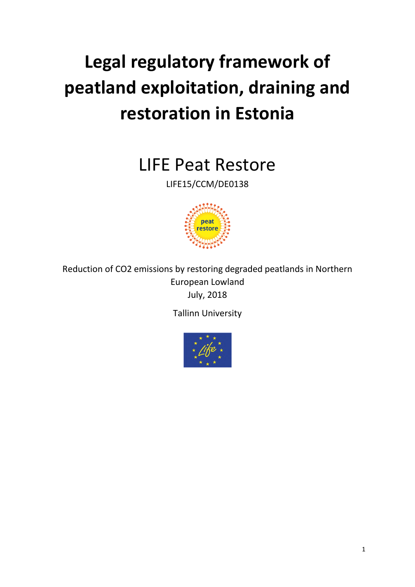# **Legal regulatory framework of peatland exploitation, draining and restoration in Estonia**

LIFE Peat Restore

LIFE15/CCM/DE0138



Reduction of CO2 emissions by restoring degraded peatlands in Northern European Lowland July, 2018

Tallinn University

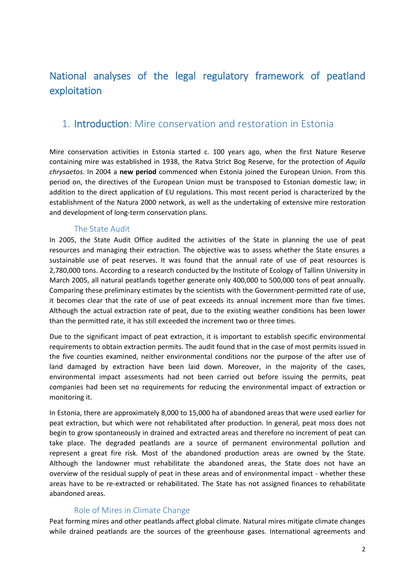# National analyses of the legal regulatory framework of peatland exploitation

### 1. Introduction: Mire conservation and restoration in Estonia

Mire conservation activities in Estonia started c. 100 years ago, when the first Nature Reserve containing mire was established in 1938, the Ratva Strict Bog Reserve, for the protection of *Aquila chrysaetos*. In 2004 a **new period** commenced when Estonia joined the European Union. From this period on, the directives of the European Union must be transposed to Estonian domestic law; in addition to the direct application of EU regulations. This most recent period is characterized by the establishment of the Natura 2000 network, as well as the undertaking of extensive mire restoration and development of long-term conservation plans.

#### The State Audit

In 2005, the State Audit Office audited the activities of the State in planning the use of peat resources and managing their extraction. The objective was to assess whether the State ensures a sustainable use of peat reserves. It was found that the annual rate of use of peat resources is 2,780,000 tons. According to a research conducted by the Institute of Ecology of Tallinn University in March 2005, all natural peatlands together generate only 400,000 to 500,000 tons of peat annually. Comparing these preliminary estimates by the scientists with the Government-permitted rate of use, it becomes clear that the rate of use of peat exceeds its annual increment more than five times. Although the actual extraction rate of peat, due to the existing weather conditions has been lower than the permitted rate, it has still exceeded the increment two or three times.

Due to the significant impact of peat extraction, it is important to establish specific environmental requirements to obtain extraction permits. The audit found that in the case of most permits issued in the five counties examined, neither environmental conditions nor the purpose of the after use of land damaged by extraction have been laid down. Moreover, in the majority of the cases, environmental impact assessments had not been carried out before issuing the permits, peat companies had been set no requirements for reducing the environmental impact of extraction or monitoring it.

In Estonia, there are approximately 8,000 to 15,000 ha of abandoned areas that were used earlier for peat extraction, but which were not rehabilitated after production. In general, peat moss does not begin to grow spontaneously in drained and extracted areas and therefore no increment of peat can take place. The degraded peatlands are a source of permanent environmental pollution and represent a great fire risk. Most of the abandoned production areas are owned by the State. Although the landowner must rehabilitate the abandoned areas, the State does not have an overview of the residual supply of peat in these areas and of environmental impact - whether these areas have to be re-extracted or rehabilitated. The State has not assigned finances to rehabilitate abandoned areas.

#### Role of Mires in Climate Change

Peat forming mires and other peatlands affect global climate. Natural mires mitigate climate changes while drained peatlands are the sources of the greenhouse gases. International agreements and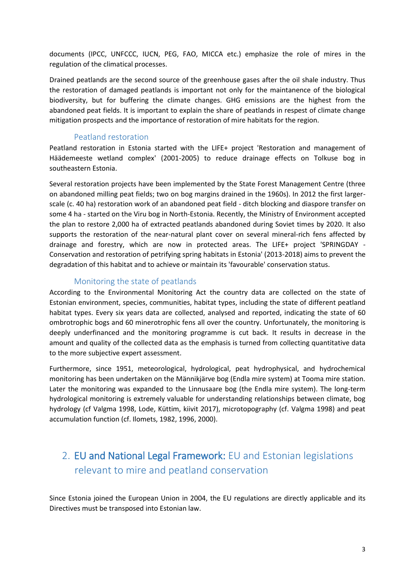documents (IPCC, UNFCCC, IUCN, PEG, FAO, MICCA etc.) emphasize the role of mires in the regulation of the climatical processes.

Drained peatlands are the second source of the greenhouse gases after the oil shale industry. Thus the restoration of damaged peatlands is important not only for the maintanence of the biological biodiversity, but for buffering the climate changes. GHG emissions are the highest from the abandoned peat fields. It is important to explain the share of peatlands in respest of climate change mitigation prospects and the importance of restoration of mire habitats for the region.

#### Peatland restoration

Peatland restoration in Estonia started with the LIFE+ project 'Restoration and management of Häädemeeste wetland complex' (2001-2005) to reduce drainage effects on Tolkuse bog in southeastern Estonia.

Several restoration projects have been implemented by the State Forest Management Centre (three on abandoned milling peat fields; two on bog margins drained in the 1960s). In 2012 the first largerscale (c. 40 ha) restoration work of an abandoned peat field - ditch blocking and diaspore transfer on some 4 ha - started on the Viru bog in North-Estonia. Recently, the Ministry of Environment accepted the plan to restore 2,000 ha of extracted peatlands abandoned during Soviet times by 2020. It also supports the restoration of the near-natural plant cover on several mineral-rich fens affected by drainage and forestry, which are now in protected areas. The LIFE+ project 'SPRINGDAY - Conservation and restoration of petrifying spring habitats in Estonia' (2013-2018) aims to prevent the degradation of this habitat and to achieve or maintain its 'favourable' conservation status.

#### Monitoring the state of peatlands

According to the Environmental Monitoring Act the country data are collected on the state of Estonian environment, species, communities, habitat types, including the state of different peatland habitat types. Every six years data are collected, analysed and reported, indicating the state of 60 ombrotrophic bogs and 60 minerotrophic fens all over the country. Unfortunately, the monitoring is deeply underfinanced and the monitoring programme is cut back. It results in decrease in the amount and quality of the collected data as the emphasis is turned from collecting quantitative data to the more subjective expert assessment.

Furthermore, since 1951, meteorological, hydrological, peat hydrophysical, and hydrochemical monitoring has been undertaken on the Männikjärve bog (Endla mire system) at Tooma mire station. Later the monitoring was expanded to the Linnusaare bog (the Endla mire system). The long-term hydrological monitoring is extremely valuable for understanding relationships between climate, bog hydrology (cf Valgma 1998, Lode, Küttim, kiivit 2017), microtopography (cf. Valgma 1998) and peat accumulation function (cf. Ilomets, 1982, 1996, 2000).

# 2. EU and National Legal Framework: EU and Estonian legislations relevant to mire and peatland conservation

Since Estonia joined the European Union in 2004, the EU regulations are directly applicable and its Directives must be transposed into Estonian law.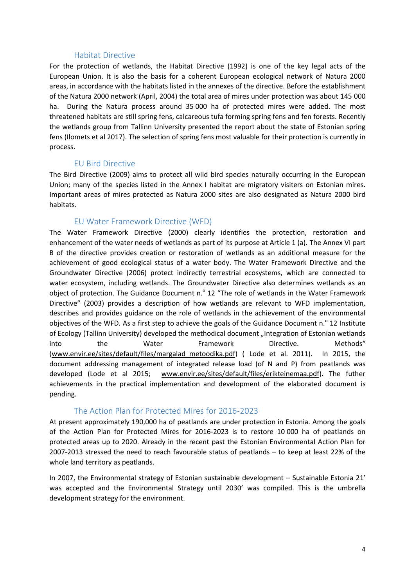#### Habitat Directive

For the protection of wetlands, the Habitat Directive (1992) is one of the key legal acts of the European Union. It is also the basis for a coherent European ecological network of Natura 2000 areas, in accordance with the habitats listed in the annexes of the directive. Before the establishment of the Natura 2000 network (April, 2004) the total area of mires under protection was about 145 000 ha. During the Natura process around 35 000 ha of protected mires were added. The most threatened habitats are still spring fens, calcareous tufa forming spring fens and fen forests. Recently the wetlands group from Tallinn University presented the report about the state of Estonian spring fens (Ilomets et al 2017). The selection of spring fens most valuable for their protection is currently in process.

#### EU Bird Directive

The Bird Directive (2009) aims to protect all wild bird species naturally occurring in the European Union; many of the species listed in the Annex I habitat are migratory visiters on Estonian mires. Important areas of mires protected as Natura 2000 sites are also designated as Natura 2000 bird habitats.

#### EU Water Framework Directive (WFD)

The Water Framework Directive (2000) clearly identifies the protection, restoration and enhancement of the water needs of wetlands as part of its purpose at Article 1 (a). The Annex VI part B of the directive provides creation or restoration of wetlands as an additional measure for the achievement of good ecological status of a water body. The Water Framework Directive and the Groundwater Directive (2006) protect indirectly terrestrial ecosystems, which are connected to water ecosystem, including wetlands. The Groundwater Directive also determines wetlands as an object of protection. The Guidance Document n. $^{\circ}$  12 "The role of wetlands in the Water Framework Directive" (2003) provides a description of how wetlands are relevant to WFD implementation, describes and provides guidance on the role of wetlands in the achievement of the environmental objectives of the WFD. As a first step to achieve the goals of the Guidance Document n. $^{\circ}$  12 Institute of Ecology (Tallinn University) developed the methodical document "Integration of Estonian wetlands into the Water Framework Directive. Methods" (www.envir.ee/sites/default/files/margalad\_metoodika.pdf) ( Lode et al. 2011). In 2015, the document addressing management of integrated release load (of N and P) from peatlands was developed (Lode et al 2015; [www.envir.ee/sites/default/files/erikteinemaa.pdf\)](http://www.envir.ee/sites/default/files/erikteinemaa.pdf). The futher achievements in the practical implementation and development of the elaborated document is pending.

#### The Action Plan for Protected Mires for 2016-2023

At present approximately 190,000 ha of peatlands are under protection in Estonia. Among the goals of the Action Plan for Protected Mires for 2016-2023 is to restore 10 000 ha of peatlands on protected areas up to 2020. Already in the recent past the Estonian Environmental Action Plan for 2007-2013 stressed the need to reach favourable status of peatlands – to keep at least 22% of the whole land territory as peatlands.

In 2007, the Environmental strategy of Estonian sustainable development – Sustainable Estonia 21' was accepted and the Environmental Strategy until 2030' was compiled. This is the umbrella development strategy for the environment.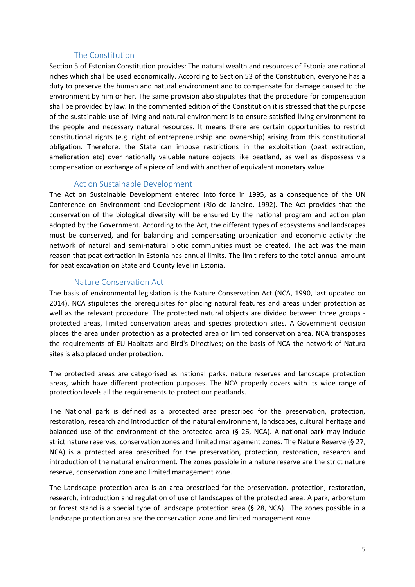#### The Constitution

Section 5 of Estonian Constitution provides: The natural wealth and resources of Estonia are national riches which shall be used economically. According to Section 53 of the Constitution, everyone has a duty to preserve the human and natural environment and to compensate for damage caused to the environment by him or her. The same provision also stipulates that the procedure for compensation shall be provided by law. In the commented edition of the Constitution it is stressed that the purpose of the sustainable use of living and natural environment is to ensure satisfied living environment to the people and necessary natural resources. It means there are certain opportunities to restrict constitutional rights (e.g. right of entrepreneurship and ownership) arising from this constitutional obligation. Therefore, the State can impose restrictions in the exploitation (peat extraction, amelioration etc) over nationally valuable nature objects like peatland, as well as dispossess via compensation or exchange of a piece of land with another of equivalent monetary value.

#### Act on Sustainable Development

The Act on Sustainable Development entered into force in 1995, as a consequence of the UN Conference on Environment and Development (Rio de Janeiro, 1992). The Act provides that the conservation of the biological diversity will be ensured by the national program and action plan adopted by the Government. According to the Act, the different types of ecosystems and landscapes must be conserved, and for balancing and compensating urbanization and economic activity the network of natural and semi-natural biotic communities must be created. The act was the main reason that peat extraction in Estonia has annual limits. The limit refers to the total annual amount for peat excavation on State and County level in Estonia.

#### Nature Conservation Act

The basis of environmental legislation is the Nature Conservation Act (NCA, 1990, last updated on 2014). NCA stipulates the prerequisites for placing natural features and areas under protection as well as the relevant procedure. The protected natural objects are divided between three groups protected areas, limited conservation areas and species protection sites. A Government decision places the area under protection as a protected area or limited conservation area. NCA transposes the requirements of EU Habitats and Bird's Directives; on the basis of NCA the network of Natura sites is also placed under protection.

The protected areas are categorised as national parks, nature reserves and landscape protection areas, which have different protection purposes. The NCA properly covers with its wide range of protection levels all the requirements to protect our peatlands.

The National park is defined as a protected area prescribed for the preservation, protection, restoration, research and introduction of the natural environment, landscapes, cultural heritage and balanced use of the environment of the protected area (§ 26, NCA). A national park may include strict nature reserves, conservation zones and limited management zones. The Nature Reserve (§ 27, NCA) is a protected area prescribed for the preservation, protection, restoration, research and introduction of the natural environment. The zones possible in a nature reserve are the strict nature reserve, conservation zone and limited management zone.

The Landscape protection area is an area prescribed for the preservation, protection, restoration, research, introduction and regulation of use of landscapes of the protected area. A park, arboretum or forest stand is a special type of landscape protection area (§ 28, NCA). The zones possible in a landscape protection area are the conservation zone and limited management zone.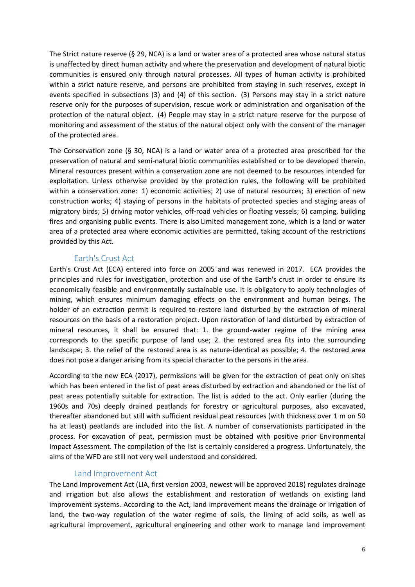The Strict nature reserve (§ 29, NCA) is a land or water area of a protected area whose natural status is unaffected by direct human activity and where the preservation and development of natural biotic communities is ensured only through natural processes. All types of human activity is prohibited within a strict nature reserve, and persons are prohibited from staying in such reserves, except in events specified in subsections (3) and (4) of this section. (3) Persons may stay in a strict nature reserve only for the purposes of supervision, rescue work or administration and organisation of the protection of the natural object. (4) People may stay in a strict nature reserve for the purpose of monitoring and assessment of the status of the natural object only with the consent of the manager of the protected area.

The Conservation zone (§ 30, NCA) is a land or water area of a protected area prescribed for the preservation of natural and semi-natural biotic communities established or to be developed therein. Mineral resources present within a conservation zone are not deemed to be resources intended for exploitation. Unless otherwise provided by the protection rules, the following will be prohibited within a conservation zone: 1) economic activities; 2) use of natural resources; 3) erection of new construction works; 4) staying of persons in the habitats of protected species and staging areas of migratory birds; 5) driving motor vehicles, off-road vehicles or floating vessels; 6) camping, building fires and organising public events. There is also Limited management zone, which is a land or water area of a protected area where economic activities are permitted, taking account of the restrictions provided by this Act.

#### Earth's Crust Act

Earth's Crust Act (ECA) entered into force on 2005 and was renewed in 2017. ECA provides the principles and rules for investigation, protection and use of the Earth's crust in order to ensure its economically feasible and environmentally sustainable use. It is obligatory to apply technologies of mining, which ensures minimum damaging effects on the environment and human beings. The holder of an extraction permit is required to restore land disturbed by the extraction of mineral resources on the basis of a restoration project. Upon restoration of land disturbed by extraction of mineral resources, it shall be ensured that: 1. the ground-water regime of the mining area corresponds to the specific purpose of land use; 2. the restored area fits into the surrounding landscape; 3. the relief of the restored area is as nature-identical as possible; 4. the restored area does not pose a danger arising from its special character to the persons in the area.

According to the new ECA (2017), permissions will be given for the extraction of peat only on sites which has been entered in the list of peat areas disturbed by extraction and abandoned or the list of peat areas potentially suitable for extraction. The list is added to the act. Only earlier (during the 1960s and 70s) deeply drained peatlands for forestry or agricultural purposes, also excavated, thereafter abandoned but still with sufficient residual peat resources (with thickness over 1 m on 50 ha at least) peatlands are included into the list. A number of conservationists participated in the process. For excavation of peat, permission must be obtained with positive prior Environmental Impact Assessment. The compilation of the list is certainly considered a progress. Unfortunately, the aims of the WFD are still not very well understood and considered.

#### Land Improvement Act

The Land Improvement Act (LIA, first version 2003, newest will be approved 2018) regulates drainage and irrigation but also allows the establishment and restoration of wetlands on existing land improvement systems. According to the Act, land improvement means the drainage or irrigation of land, the two-way regulation of the water regime of soils, the liming of acid soils, as well as agricultural improvement, agricultural engineering and other work to manage land improvement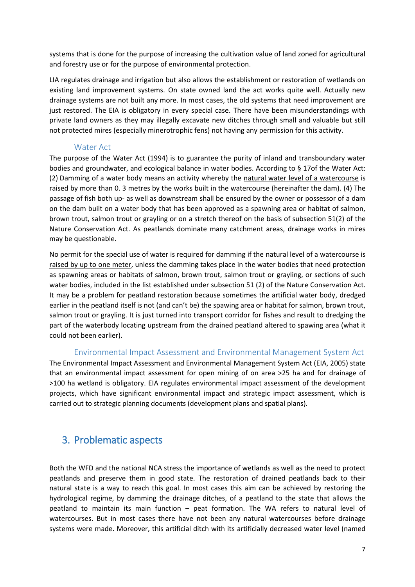systems that is done for the purpose of increasing the cultivation value of land zoned for agricultural and forestry use or for the purpose of environmental protection.

LIA regulates drainage and irrigation but also allows the establishment or restoration of wetlands on existing land improvement systems. On state owned land the act works quite well. Actually new drainage systems are not built any more. In most cases, the old systems that need improvement are just restored. The EIA is obligatory in every special case. There have been misunderstandings with private land owners as they may illegally excavate new ditches through small and valuable but still not protected mires (especially minerotrophic fens) not having any permission for this activity.

#### Water Act

The purpose of the Water Act (1994) is to guarantee the purity of inland and transboundary water bodies and groundwater, and ecological balance in water bodies. According to § 17of the Water Act: (2) Damming of a water body means an activity whereby the natural water level of a watercourse is raised by more than 0. 3 metres by the works built in the watercourse (hereinafter the dam). (4) The passage of fish both up- as well as downstream shall be ensured by the owner or possessor of a dam on the dam built on a water body that has been approved as a spawning area or habitat of salmon, brown trout, salmon trout or grayling or on a stretch thereof on the basis of subsection 51(2) of the Nature Conservation Act. As peatlands dominate many catchment areas, drainage works in mires may be questionable.

No permit for the special use of water is required for damming if the natural level of a watercourse is raised by up to one meter, unless the damming takes place in the water bodies that need protection as spawning areas or habitats of salmon, brown trout, salmon trout or grayling, or sections of such water bodies, included in the list established under subsection 51 (2) of the Nature Conservation Act. It may be a problem for peatland restoration because sometimes the artificial water body, dredged earlier in the peatland itself is not (and can't be) the spawing area or habitat for salmon, brown trout, salmon trout or grayling. It is just turned into transport corridor for fishes and result to dredging the part of the waterbody locating upstream from the drained peatland altered to spawing area (what it could not been earlier).

#### Environmental Impact Assessment and Environmental Management System Act

The Environmental Impact Assessment and Environmental Management System Act (EIA, 2005) state that an environmental impact assessment for open mining of on area >25 ha and for drainage of >100 ha wetland is obligatory. EIA regulates environmental impact assessment of the development projects, which have significant environmental impact and strategic impact assessment, which is carried out to strategic planning documents (development plans and spatial plans).

## 3. Problematic aspects

Both the WFD and the national NCA stress the importance of wetlands as well as the need to protect peatlands and preserve them in good state. The restoration of drained peatlands back to their natural state is a way to reach this goal. In most cases this aim can be achieved by restoring the hydrological regime, by damming the drainage ditches, of a peatland to the state that allows the peatland to maintain its main function – peat formation. The WA refers to natural level of watercourses. But in most cases there have not been any natural watercourses before drainage systems were made. Moreover, this artificial ditch with its artificially decreased water level (named